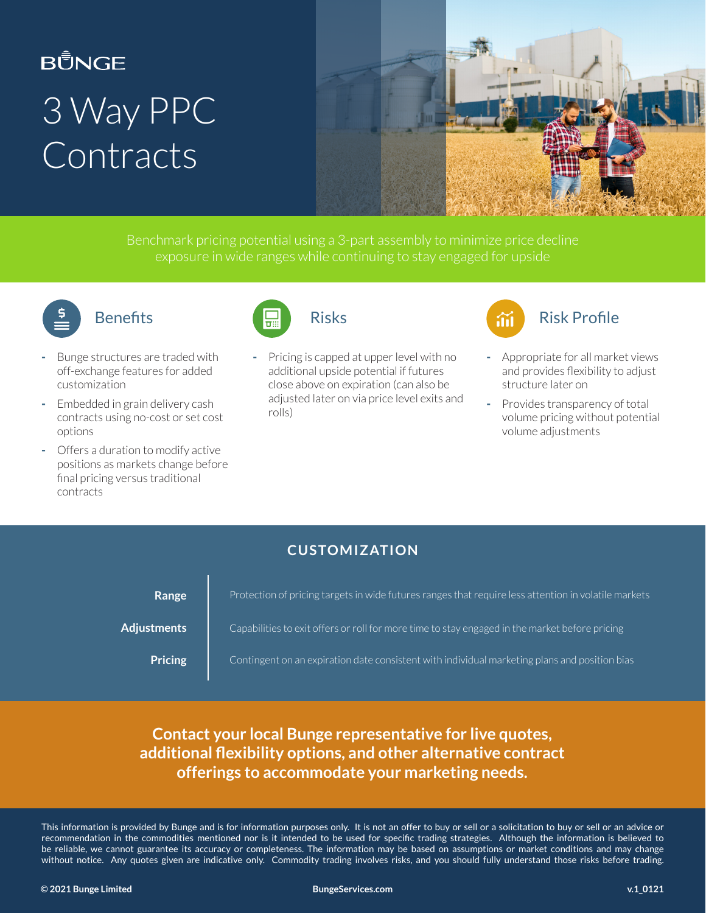# **BŮNGE** 3 Way PPC **Contracts**



exposure in wide ranges while continuing to stay engaged for upside



#### **Benefits**

- Bunge structures are traded with off-exchange features for added customization
- Embedded in grain delivery cash contracts using no-cost or set cost options
- Offers a duration to modify active positions as markets change before final pricing versus traditional contracts



- Pricing is capped at upper level with no additional upside potential if futures close above on expiration (can also be adjusted later on via price level exits and rolls)



- Appropriate for all market views and provides flexibility to adjust structure later on
- Provides transparency of total volume pricing without potential volume adjustments

#### **CUSTOMIZATION**

| Range              | Protection of pricing targets in wide futures ranges that require less attention in volatile markets |
|--------------------|------------------------------------------------------------------------------------------------------|
| <b>Adjustments</b> | Capabilities to exit offers or roll for more time to stay engaged in the market before pricing       |
| <b>Pricing</b>     | Contingent on an expiration date consistent with individual marketing plans and position bias        |

**Contact your local Bunge representative for live quotes, additional flexibility options, and other alternative contract offerings to accommodate your marketing needs.**

This information is provided by Bunge and is for information purposes only. It is not an offer to buy or sell or a solicitation to buy or sell or an advice or recommendation in the commodities mentioned nor is it intended to be used for specific trading strategies. Although the information is believed to be reliable, we cannot guarantee its accuracy or completeness. The information may be based on assumptions or market conditions and may change without notice. Any quotes given are indicative only. Commodity trading involves risks, and you should fully understand those risks before trading.